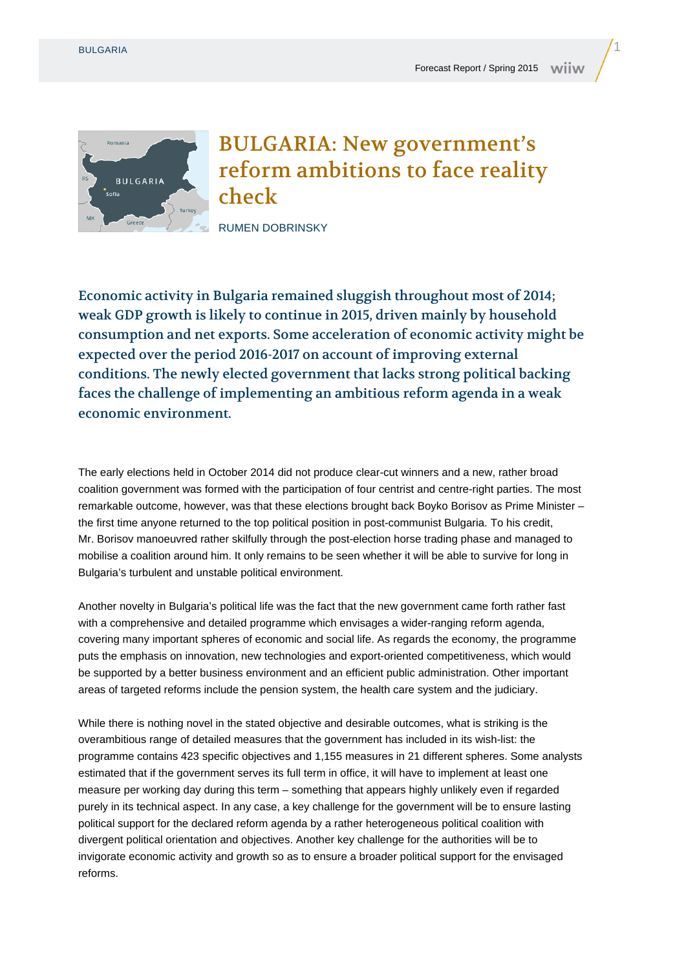

## BULGARIA: New government's reform ambitions to face reality check

RUMEN DOBRINSKY

Economic activity in Bulgaria remained sluggish throughout most of 2014; weak GDP growth is likely to continue in 2015, driven mainly by household consumption and net exports. Some acceleration of economic activity might be expected over the period 2016-2017 on account of improving external conditions. The newly elected government that lacks strong political backing faces the challenge of implementing an ambitious reform agenda in a weak economic environment.

The early elections held in October 2014 did not produce clear-cut winners and a new, rather broad coalition government was formed with the participation of four centrist and centre-right parties. The most remarkable outcome, however, was that these elections brought back Boyko Borisov as Prime Minister – the first time anyone returned to the top political position in post-communist Bulgaria. To his credit, Mr. Borisov manoeuvred rather skilfully through the post-election horse trading phase and managed to mobilise a coalition around him. It only remains to be seen whether it will be able to survive for long in Bulgaria's turbulent and unstable political environment.

Another novelty in Bulgaria's political life was the fact that the new government came forth rather fast with a comprehensive and detailed programme which envisages a wider-ranging reform agenda, covering many important spheres of economic and social life. As regards the economy, the programme puts the emphasis on innovation, new technologies and export-oriented competitiveness, which would be supported by a better business environment and an efficient public administration. Other important areas of targeted reforms include the pension system, the health care system and the judiciary.

While there is nothing novel in the stated objective and desirable outcomes, what is striking is the overambitious range of detailed measures that the government has included in its wish-list: the programme contains 423 specific objectives and 1,155 measures in 21 different spheres. Some analysts estimated that if the government serves its full term in office, it will have to implement at least one measure per working day during this term – something that appears highly unlikely even if regarded purely in its technical aspect. In any case, a key challenge for the government will be to ensure lasting political support for the declared reform agenda by a rather heterogeneous political coalition with divergent political orientation and objectives. Another key challenge for the authorities will be to invigorate economic activity and growth so as to ensure a broader political support for the envisaged reforms.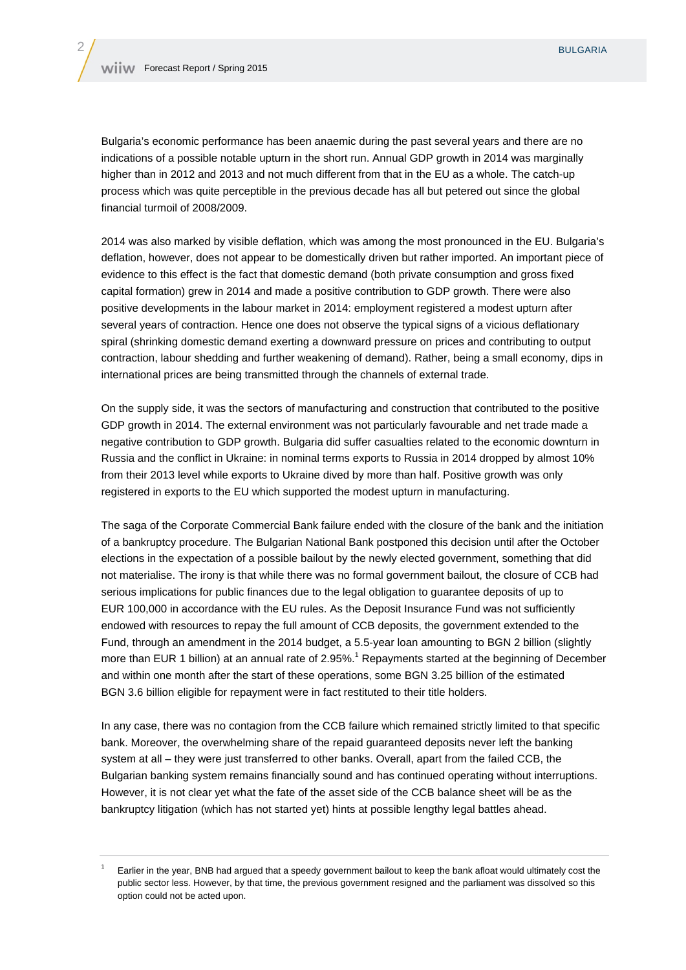Bulgaria's economic performance has been anaemic during the past several years and there are no indications of a possible notable upturn in the short run. Annual GDP growth in 2014 was marginally higher than in 2012 and 2013 and not much different from that in the EU as a whole. The catch-up process which was quite perceptible in the previous decade has all but petered out since the global financial turmoil of 2008/2009.

2014 was also marked by visible deflation, which was among the most pronounced in the EU. Bulgaria's deflation, however, does not appear to be domestically driven but rather imported. An important piece of evidence to this effect is the fact that domestic demand (both private consumption and gross fixed capital formation) grew in 2014 and made a positive contribution to GDP growth. There were also positive developments in the labour market in 2014: employment registered a modest upturn after several years of contraction. Hence one does not observe the typical signs of a vicious deflationary spiral (shrinking domestic demand exerting a downward pressure on prices and contributing to output contraction, labour shedding and further weakening of demand). Rather, being a small economy, dips in international prices are being transmitted through the channels of external trade.

On the supply side, it was the sectors of manufacturing and construction that contributed to the positive GDP growth in 2014. The external environment was not particularly favourable and net trade made a negative contribution to GDP growth. Bulgaria did suffer casualties related to the economic downturn in Russia and the conflict in Ukraine: in nominal terms exports to Russia in 2014 dropped by almost 10% from their 2013 level while exports to Ukraine dived by more than half. Positive growth was only registered in exports to the EU which supported the modest upturn in manufacturing.

The saga of the Corporate Commercial Bank failure ended with the closure of the bank and the initiation of a bankruptcy procedure. The Bulgarian National Bank postponed this decision until after the October elections in the expectation of a possible bailout by the newly elected government, something that did not materialise. The irony is that while there was no formal government bailout, the closure of CCB had serious implications for public finances due to the legal obligation to guarantee deposits of up to EUR 100,000 in accordance with the EU rules. As the Deposit Insurance Fund was not sufficiently endowed with resources to repay the full amount of CCB deposits, the government extended to the Fund, through an amendment in the 2014 budget, a 5.5-year loan amounting to BGN 2 billion (slightly more than EUR 1 billion) at an annual rate of 2.95%.<sup>1</sup> Repayments started at the beginning of December and within one month after the start of these operations, some BGN 3.25 billion of the estimated BGN 3.6 billion eligible for repayment were in fact restituted to their title holders.

In any case, there was no contagion from the CCB failure which remained strictly limited to that specific bank. Moreover, the overwhelming share of the repaid guaranteed deposits never left the banking system at all – they were just transferred to other banks. Overall, apart from the failed CCB, the Bulgarian banking system remains financially sound and has continued operating without interruptions. However, it is not clear yet what the fate of the asset side of the CCB balance sheet will be as the bankruptcy litigation (which has not started yet) hints at possible lengthy legal battles ahead.

Earlier in the year. BNB had argued that a speedy government bailout to keep the bank afloat would ultimately cost the public sector less. However, by that time, the previous government resigned and the parliament was dissolved so this option could not be acted upon.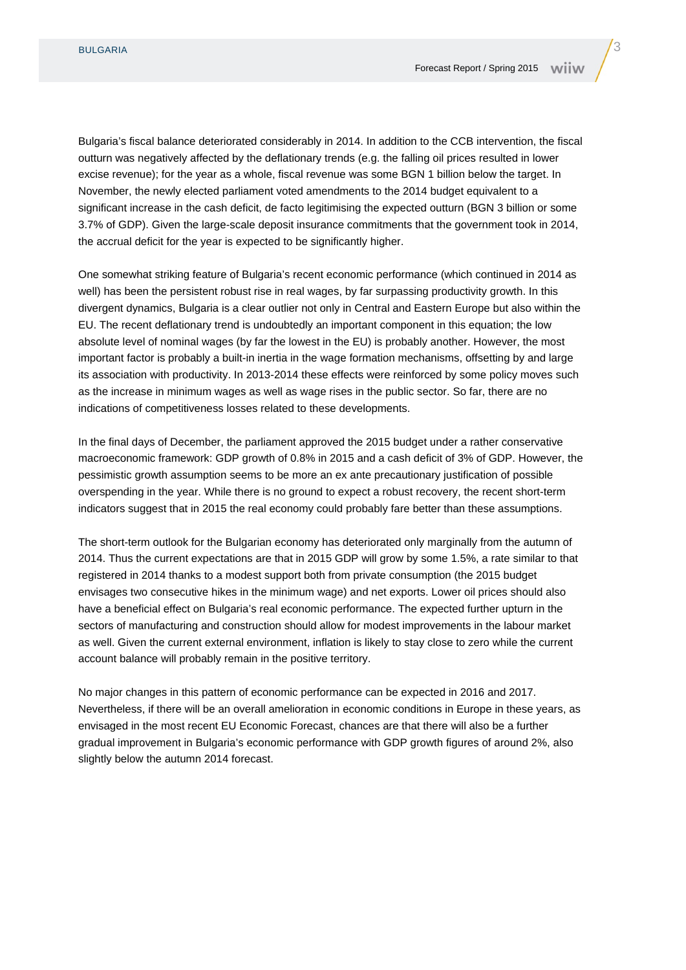Bulgaria's fiscal balance deteriorated considerably in 2014. In addition to the CCB intervention, the fiscal outturn was negatively affected by the deflationary trends (e.g. the falling oil prices resulted in lower excise revenue); for the year as a whole, fiscal revenue was some BGN 1 billion below the target. In November, the newly elected parliament voted amendments to the 2014 budget equivalent to a significant increase in the cash deficit, de facto legitimising the expected outturn (BGN 3 billion or some 3.7% of GDP). Given the large-scale deposit insurance commitments that the government took in 2014, the accrual deficit for the year is expected to be significantly higher.

One somewhat striking feature of Bulgaria's recent economic performance (which continued in 2014 as well) has been the persistent robust rise in real wages, by far surpassing productivity growth. In this divergent dynamics, Bulgaria is a clear outlier not only in Central and Eastern Europe but also within the EU. The recent deflationary trend is undoubtedly an important component in this equation; the low absolute level of nominal wages (by far the lowest in the EU) is probably another. However, the most important factor is probably a built-in inertia in the wage formation mechanisms, offsetting by and large its association with productivity. In 2013-2014 these effects were reinforced by some policy moves such as the increase in minimum wages as well as wage rises in the public sector. So far, there are no indications of competitiveness losses related to these developments.

In the final days of December, the parliament approved the 2015 budget under a rather conservative macroeconomic framework: GDP growth of 0.8% in 2015 and a cash deficit of 3% of GDP. However, the pessimistic growth assumption seems to be more an ex ante precautionary justification of possible overspending in the year. While there is no ground to expect a robust recovery, the recent short-term indicators suggest that in 2015 the real economy could probably fare better than these assumptions.

The short-term outlook for the Bulgarian economy has deteriorated only marginally from the autumn of 2014. Thus the current expectations are that in 2015 GDP will grow by some 1.5%, a rate similar to that registered in 2014 thanks to a modest support both from private consumption (the 2015 budget envisages two consecutive hikes in the minimum wage) and net exports. Lower oil prices should also have a beneficial effect on Bulgaria's real economic performance. The expected further upturn in the sectors of manufacturing and construction should allow for modest improvements in the labour market as well. Given the current external environment, inflation is likely to stay close to zero while the current account balance will probably remain in the positive territory.

No major changes in this pattern of economic performance can be expected in 2016 and 2017. Nevertheless, if there will be an overall amelioration in economic conditions in Europe in these years, as envisaged in the most recent EU Economic Forecast, chances are that there will also be a further gradual improvement in Bulgaria's economic performance with GDP growth figures of around 2%, also slightly below the autumn 2014 forecast.